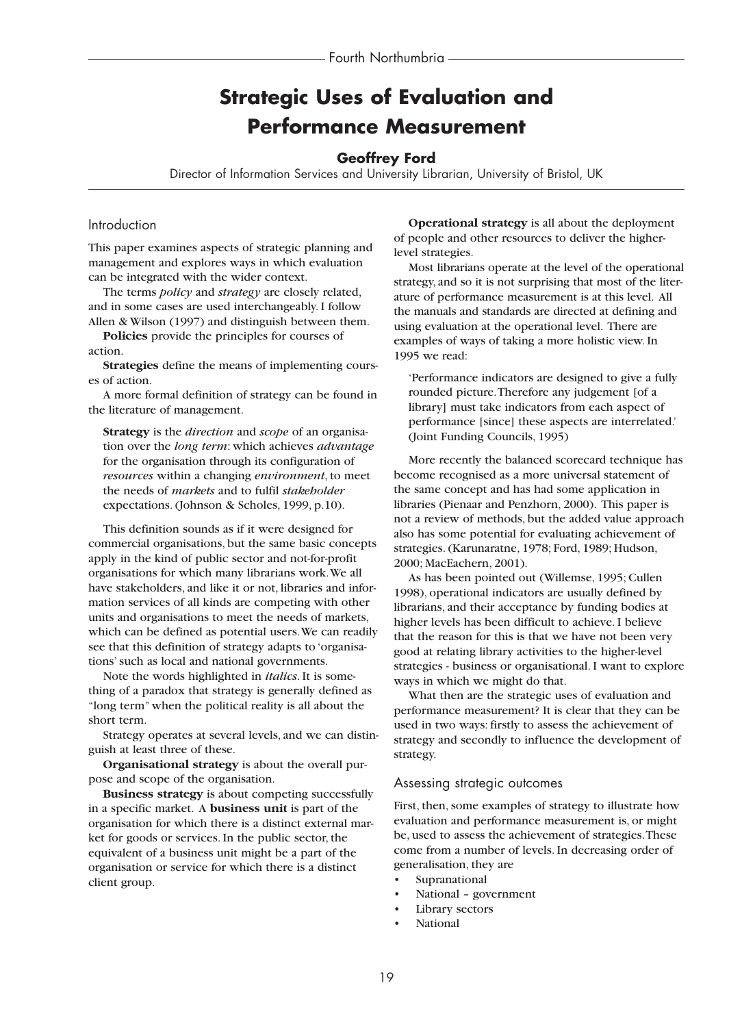# **Strategic Uses of Evaluation and Performance Measurement**

# **Geoffrey Ford**

Director of Information Services and University Librarian, University of Bristol, UK

#### Introduction

This paper examines aspects of strategic planning and management and explores ways in which evaluation can be integrated with the wider context.

The terms *policy* and *strategy* are closely related, and in some cases are used interchangeably. I follow Allen & Wilson (1997) and distinguish between them.

**Policies** provide the principles for courses of action.

**Strategies** define the means of implementing courses of action.

A more formal definition of strategy can be found in the literature of management.

**Strategy** is the *direction* and *scope* of an organisation over the *long term*: which achieves *advantage* for the organisation through its configuration of *resources* within a changing *environment*, to meet the needs of *markets* and to fulfil *stakeholder* expectations. (Johnson & Scholes, 1999, p.10).

This definition sounds as if it were designed for commercial organisations, but the same basic concepts apply in the kind of public sector and not-for-profit organisations for which many librarians work.We all have stakeholders, and like it or not, libraries and information services of all kinds are competing with other units and organisations to meet the needs of markets, which can be defined as potential users.We can readily see that this definition of strategy adapts to 'organisations' such as local and national governments.

Note the words highlighted in *italics*. It is something of a paradox that strategy is generally defined as "long term" when the political reality is all about the short term.

Strategy operates at several levels, and we can distinguish at least three of these.

**Organisational strategy** is about the overall purpose and scope of the organisation.

**Business strategy** is about competing successfully in a specific market. A **business unit** is part of the organisation for which there is a distinct external market for goods or services. In the public sector, the equivalent of a business unit might be a part of the organisation or service for which there is a distinct client group.

**Operational strategy** is all about the deployment of people and other resources to deliver the higherlevel strategies.

Most librarians operate at the level of the operational strategy, and so it is not surprising that most of the literature of performance measurement is at this level. All the manuals and standards are directed at defining and using evaluation at the operational level. There are examples of ways of taking a more holistic view. In 1995 we read:

'Performance indicators are designed to give a fully rounded picture.Therefore any judgement [of a library] must take indicators from each aspect of performance [since] these aspects are interrelated.' (Joint Funding Councils, 1995)

More recently the balanced scorecard technique has become recognised as a more universal statement of the same concept and has had some application in libraries (Pienaar and Penzhorn, 2000). This paper is not a review of methods, but the added value approach also has some potential for evaluating achievement of strategies. (Karunaratne, 1978; Ford, 1989; Hudson, 2000; MacEachern, 2001).

As has been pointed out (Willemse, 1995; Cullen 1998), operational indicators are usually defined by librarians, and their acceptance by funding bodies at higher levels has been difficult to achieve. I believe that the reason for this is that we have not been very good at relating library activities to the higher-level strategies - business or organisational. I want to explore ways in which we might do that.

What then are the strategic uses of evaluation and performance measurement? It is clear that they can be used in two ways: firstly to assess the achievement of strategy and secondly to influence the development of strategy.

#### Assessing strategic outcomes

First, then, some examples of strategy to illustrate how evaluation and performance measurement is, or might be, used to assess the achievement of strategies.These come from a number of levels. In decreasing order of generalisation, they are

- **Supranational**
- National government
- Library sectors
- National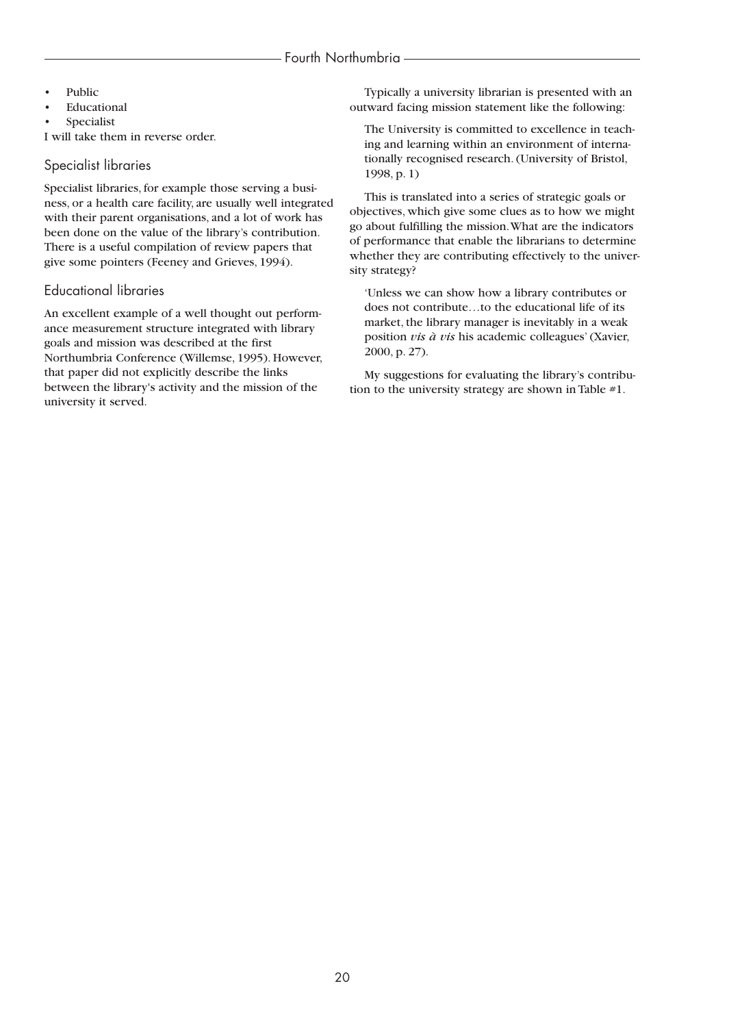- **Public**
- **Educational**
- **Specialist**

I will take them in reverse order.

## Specialist libraries

Specialist libraries, for example those serving a business, or a health care facility, are usually well integrated with their parent organisations, and a lot of work has been done on the value of the library's contribution. There is a useful compilation of review papers that give some pointers (Feeney and Grieves, 1994).

# Educational libraries

An excellent example of a well thought out performance measurement structure integrated with library goals and mission was described at the first Northumbria Conference (Willemse, 1995). However, that paper did not explicitly describe the links between the library's activity and the mission of the university it served.

Typically a university librarian is presented with an outward facing mission statement like the following:

The University is committed to excellence in teaching and learning within an environment of internationally recognised research. (University of Bristol, 1998, p. 1)

This is translated into a series of strategic goals or objectives, which give some clues as to how we might go about fulfilling the mission.What are the indicators of performance that enable the librarians to determine whether they are contributing effectively to the university strategy?

'Unless we can show how a library contributes or does not contribute…to the educational life of its market, the library manager is inevitably in a weak position *vis à vis* his academic colleagues' (Xavier, 2000, p. 27).

My suggestions for evaluating the library's contribution to the university strategy are shown in Table #1.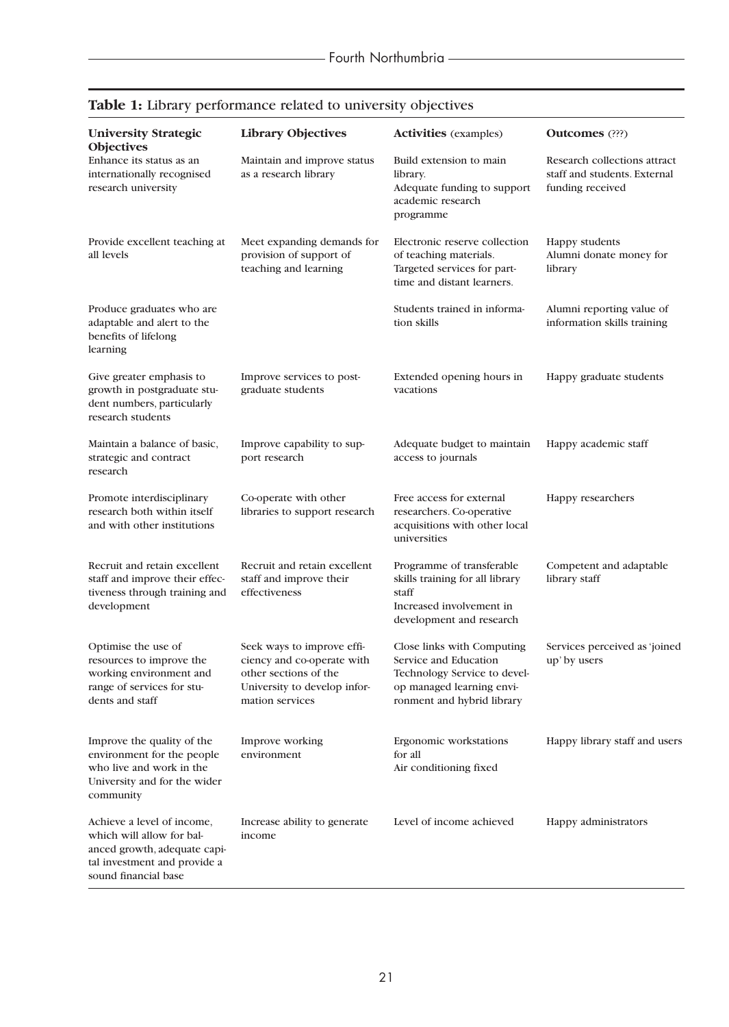| <b>University Strategic</b><br><b>Objectives</b>                                                                                                | <b>Library Objectives</b>                                                                                                            | <b>Activities</b> (examples)                                                                                                                   | <b>Outcomes</b> (???)                                                            |
|-------------------------------------------------------------------------------------------------------------------------------------------------|--------------------------------------------------------------------------------------------------------------------------------------|------------------------------------------------------------------------------------------------------------------------------------------------|----------------------------------------------------------------------------------|
| Enhance its status as an<br>internationally recognised<br>research university                                                                   | Maintain and improve status<br>as a research library                                                                                 | Build extension to main<br>library.<br>Adequate funding to support<br>academic research<br>programme                                           | Research collections attract<br>staff and students. External<br>funding received |
| Provide excellent teaching at<br>all levels                                                                                                     | Meet expanding demands for<br>provision of support of<br>teaching and learning                                                       | Electronic reserve collection<br>of teaching materials.<br>Targeted services for part-<br>time and distant learners.                           | Happy students<br>Alumni donate money for<br>library                             |
| Produce graduates who are<br>adaptable and alert to the<br>benefits of lifelong<br>learning                                                     |                                                                                                                                      | Students trained in informa-<br>tion skills                                                                                                    | Alumni reporting value of<br>information skills training                         |
| Give greater emphasis to<br>growth in postgraduate stu-<br>dent numbers, particularly<br>research students                                      | Improve services to post-<br>graduate students                                                                                       | Extended opening hours in<br>vacations                                                                                                         | Happy graduate students                                                          |
| Maintain a balance of basic,<br>strategic and contract<br>research                                                                              | Improve capability to sup-<br>port research                                                                                          | Adequate budget to maintain<br>access to journals                                                                                              | Happy academic staff                                                             |
| Promote interdisciplinary<br>research both within itself<br>and with other institutions                                                         | Co-operate with other<br>libraries to support research                                                                               | Free access for external<br>researchers. Co-operative<br>acquisitions with other local<br>universities                                         | Happy researchers                                                                |
| Recruit and retain excellent<br>staff and improve their effec-<br>tiveness through training and<br>development                                  | Recruit and retain excellent<br>staff and improve their<br>effectiveness                                                             | Programme of transferable<br>skills training for all library<br>staff<br>Increased involvement in<br>development and research                  | Competent and adaptable<br>library staff                                         |
| Optimise the use of<br>resources to improve the<br>working environment and<br>range of services for stu-<br>dents and staff                     | Seek ways to improve effi-<br>ciency and co-operate with<br>other sections of the<br>University to develop infor-<br>mation services | Close links with Computing<br>Service and Education<br>Technology Service to devel-<br>op managed learning envi-<br>ronment and hybrid library | Services perceived as 'joined<br>up' by users                                    |
| Improve the quality of the<br>environment for the people<br>who live and work in the<br>University and for the wider<br>community               | Improve working<br>environment                                                                                                       | Ergonomic workstations<br>for all<br>Air conditioning fixed                                                                                    | Happy library staff and users                                                    |
| Achieve a level of income,<br>which will allow for bal-<br>anced growth, adequate capi-<br>tal investment and provide a<br>sound financial base | Increase ability to generate<br>income                                                                                               | Level of income achieved                                                                                                                       | Happy administrators                                                             |

# **Table 1:** Library performance related to university objectives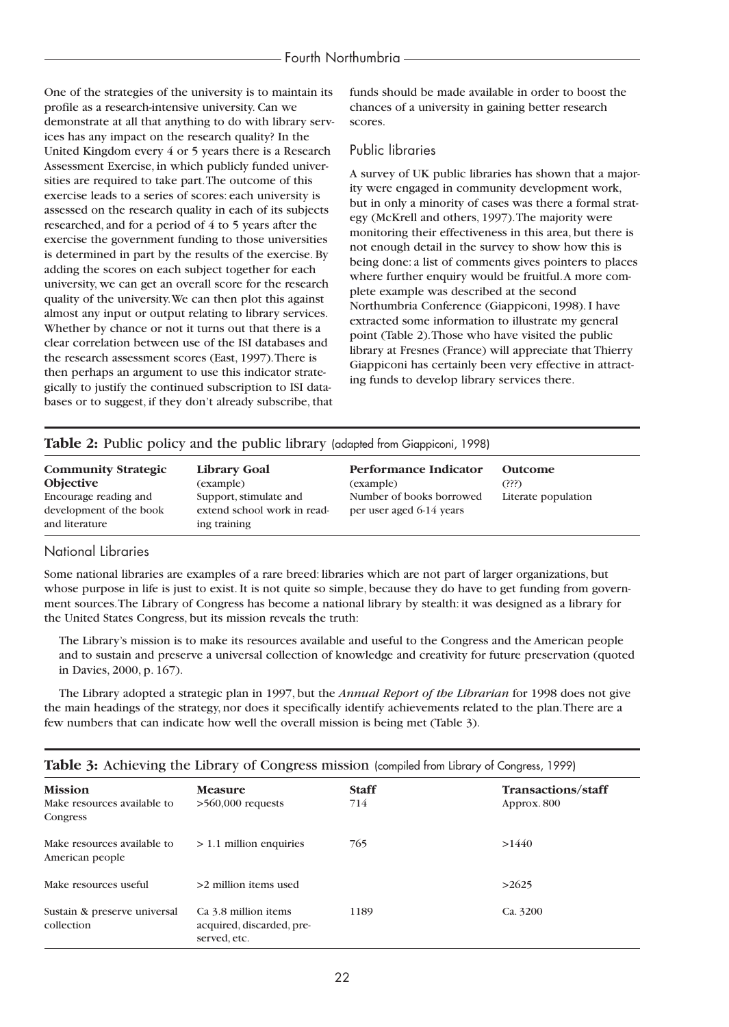#### Fourth Northumbria

One of the strategies of the university is to maintain its profile as a research-intensive university. Can we demonstrate at all that anything to do with library services has any impact on the research quality? In the United Kingdom every 4 or 5 years there is a Research Assessment Exercise, in which publicly funded universities are required to take part.The outcome of this exercise leads to a series of scores: each university is assessed on the research quality in each of its subjects researched, and for a period of 4 to 5 years after the exercise the government funding to those universities is determined in part by the results of the exercise. By adding the scores on each subject together for each university, we can get an overall score for the research quality of the university.We can then plot this against almost any input or output relating to library services. Whether by chance or not it turns out that there is a clear correlation between use of the ISI databases and the research assessment scores (East, 1997).There is then perhaps an argument to use this indicator strategically to justify the continued subscription to ISI databases or to suggest, if they don't already subscribe, that

funds should be made available in order to boost the chances of a university in gaining better research scores.

#### Public libraries

A survey of UK public libraries has shown that a majority were engaged in community development work, but in only a minority of cases was there a formal strategy (McKrell and others, 1997).The majority were monitoring their effectiveness in this area, but there is not enough detail in the survey to show how this is being done: a list of comments gives pointers to places where further enquiry would be fruitful.A more complete example was described at the second Northumbria Conference (Giappiconi, 1998). I have extracted some information to illustrate my general point (Table 2).Those who have visited the public library at Fresnes (France) will appreciate that Thierry Giappiconi has certainly been very effective in attracting funds to develop library services there.

|  |  |  |  |  | Table 2: Public policy and the public library (adapted from Giappiconi, 1998) |
|--|--|--|--|--|-------------------------------------------------------------------------------|
|--|--|--|--|--|-------------------------------------------------------------------------------|

| <b>Community Strategic</b><br><b>Objective</b> | Library Goal<br>(example)                   | Performance Indicator<br>(example) | Outcome<br>(?)?)    |
|------------------------------------------------|---------------------------------------------|------------------------------------|---------------------|
| Encourage reading and                          | Support, stimulate and                      | Number of books borrowed           | Literate population |
| development of the book<br>and literature      | extend school work in read-<br>ing training | per user aged 6-14 years           |                     |

#### National Libraries

Some national libraries are examples of a rare breed: libraries which are not part of larger organizations, but whose purpose in life is just to exist. It is not quite so simple, because they do have to get funding from government sources.The Library of Congress has become a national library by stealth: it was designed as a library for the United States Congress, but its mission reveals the truth:

The Library's mission is to make its resources available and useful to the Congress and the American people and to sustain and preserve a universal collection of knowledge and creativity for future preservation (quoted in Davies, 2000, p. 167).

The Library adopted a strategic plan in 1997, but the *Annual Report of the Librarian* for 1998 does not give the main headings of the strategy, nor does it specifically identify achievements related to the plan.There are a few numbers that can indicate how well the overall mission is being met (Table 3).

| <b>Mission</b><br>Make resources available to<br>Congress | <b>Measure</b><br>$>560,000$ requests                             | <b>Staff</b><br>714 | <b>Transactions/staff</b><br>Approx. 800 |
|-----------------------------------------------------------|-------------------------------------------------------------------|---------------------|------------------------------------------|
| Make resources available to<br>American people            | $> 1.1$ million enquiries                                         | 765                 | >1440                                    |
| Make resources useful                                     | >2 million items used                                             |                     | >2625                                    |
| Sustain & preserve universal<br>collection                | Ca 3.8 million items<br>acquired, discarded, pre-<br>served, etc. | 1189                | Ca. 3200                                 |

# **Table 3:** Achieving the Library of Congress mission (compiled from Library of Congress, 1999)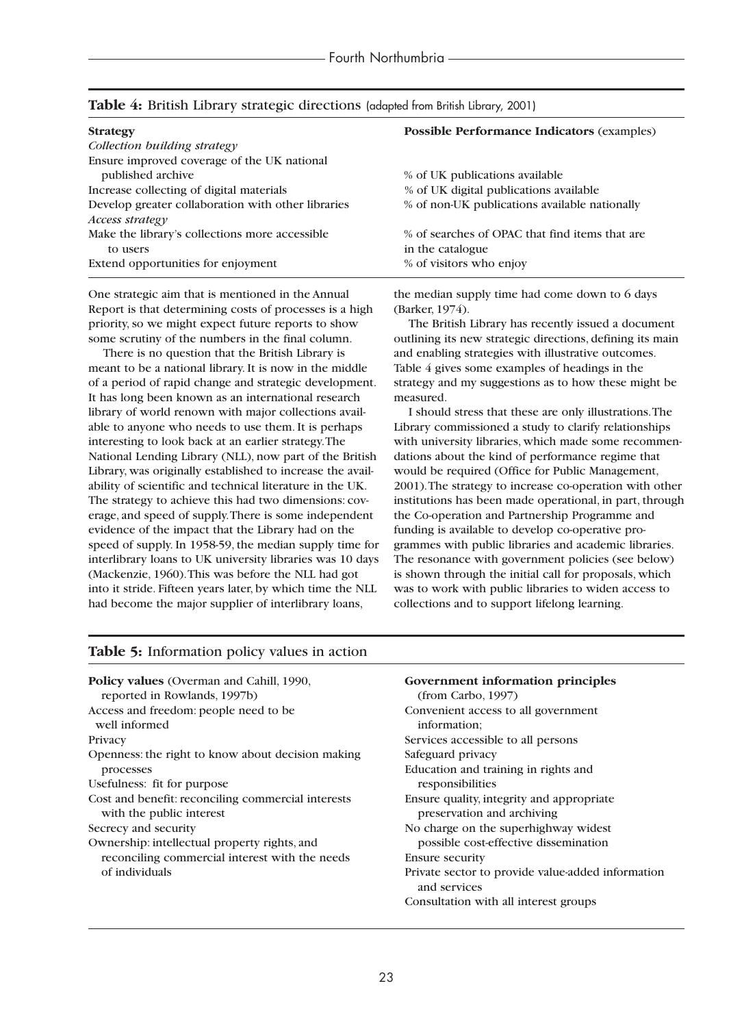| <b>Strategy</b>                                            | <b>Possible Performance Indicators (examples)</b> |
|------------------------------------------------------------|---------------------------------------------------|
| Collection building strategy                               |                                                   |
| Ensure improved coverage of the UK national                |                                                   |
| published archive                                          | % of UK publications available                    |
| Increase collecting of digital materials                   | % of UK digital publications available            |
| Develop greater collaboration with other libraries         | % of non-UK publications available nationally     |
| <i>Access strategy</i>                                     | % of searches of OPAC that find items that are    |
| Make the library's collections more accessible<br>to users | in the catalogue                                  |
| Extend opportunities for enjoyment                         | % of visitors who enjoy                           |

#### **Table 4:** British Library strategic directions (adapted from British Library, 2001)

One strategic aim that is mentioned in the Annual Report is that determining costs of processes is a high priority, so we might expect future reports to show some scrutiny of the numbers in the final column.

There is no question that the British Library is meant to be a national library. It is now in the middle of a period of rapid change and strategic development. It has long been known as an international research library of world renown with major collections available to anyone who needs to use them. It is perhaps interesting to look back at an earlier strategy.The National Lending Library (NLL), now part of the British Library, was originally established to increase the availability of scientific and technical literature in the UK. The strategy to achieve this had two dimensions: coverage, and speed of supply.There is some independent evidence of the impact that the Library had on the speed of supply. In 1958-59, the median supply time for interlibrary loans to UK university libraries was 10 days (Mackenzie, 1960).This was before the NLL had got into it stride. Fifteen years later, by which time the NLL had become the major supplier of interlibrary loans,

the median supply time had come down to 6 days (Barker, 1974).

The British Library has recently issued a document outlining its new strategic directions, defining its main and enabling strategies with illustrative outcomes. Table 4 gives some examples of headings in the strategy and my suggestions as to how these might be measured.

I should stress that these are only illustrations.The Library commissioned a study to clarify relationships with university libraries, which made some recommendations about the kind of performance regime that would be required (Office for Public Management, 2001).The strategy to increase co-operation with other institutions has been made operational, in part, through the Co-operation and Partnership Programme and funding is available to develop co-operative programmes with public libraries and academic libraries. The resonance with government policies (see below) is shown through the initial call for proposals, which was to work with public libraries to widen access to collections and to support lifelong learning.

| Policy values (Overman and Cahill, 1990,                                       | Government information principles                                       |  |  |  |
|--------------------------------------------------------------------------------|-------------------------------------------------------------------------|--|--|--|
| reported in Rowlands, 1997b)                                                   | (from Carbon, 1997)                                                     |  |  |  |
| Access and freedom: people need to be<br>well informed                         | Convenient access to all government<br>information:                     |  |  |  |
| Privacy                                                                        | Services accessible to all persons                                      |  |  |  |
| Openness: the right to know about decision making                              | Safeguard privacy                                                       |  |  |  |
| processes                                                                      | Education and training in rights and                                    |  |  |  |
| Usefulness: fit for purpose                                                    | responsibilities                                                        |  |  |  |
| Cost and benefit: reconciling commercial interests<br>with the public interest | Ensure quality, integrity and appropriate<br>preservation and archiving |  |  |  |
| Secrecy and security                                                           | No charge on the superhighway widest                                    |  |  |  |
| Ownership: intellectual property rights, and                                   | possible cost-effective dissemination                                   |  |  |  |
| reconciling commercial interest with the needs                                 | <b>Ensure security</b>                                                  |  |  |  |
| of individuals                                                                 | Private sector to provide value-added information<br>and services       |  |  |  |
|                                                                                | Consultation with all interest groups                                   |  |  |  |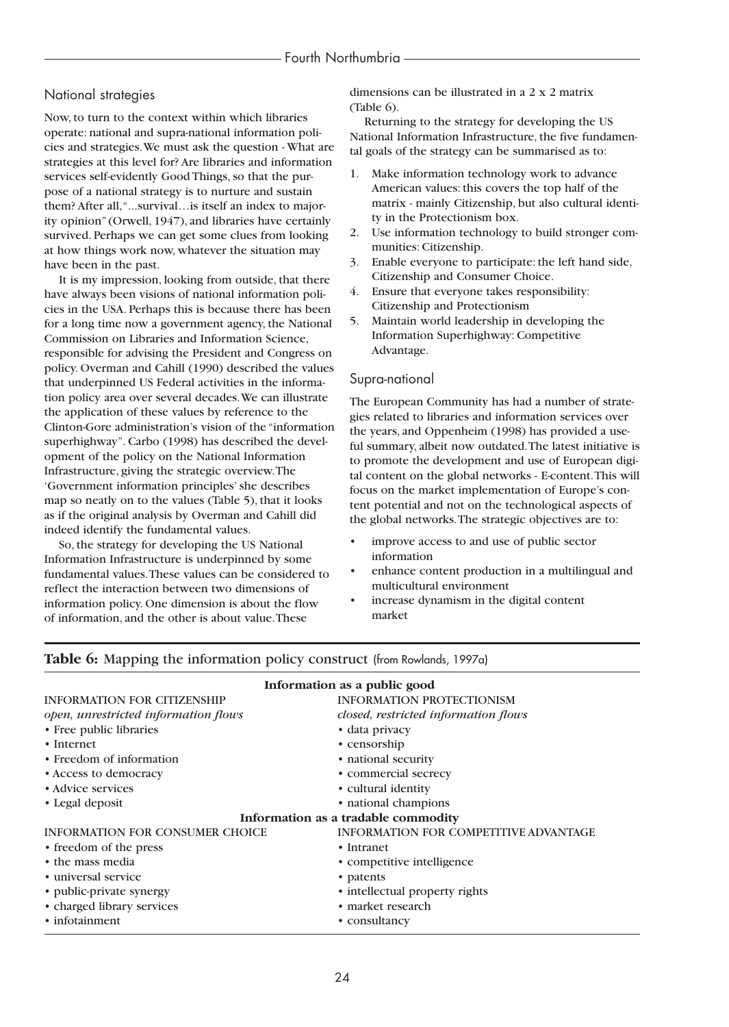# National strategies

Now, to turn to the context within which libraries operate: national and supra-national information policies and strategies.We must ask the question - What are strategies at this level for? Are libraries and information services self-evidently Good Things, so that the purpose of a national strategy is to nurture and sustain them? After all,"...survival…is itself an index to majority opinion" (Orwell, 1947), and libraries have certainly survived. Perhaps we can get some clues from looking at how things work now, whatever the situation may have been in the past.

It is my impression, looking from outside, that there have always been visions of national information policies in the USA. Perhaps this is because there has been for a long time now a government agency, the National Commission on Libraries and Information Science, responsible for advising the President and Congress on policy. Overman and Cahill (1990) described the values that underpinned US Federal activities in the information policy area over several decades.We can illustrate the application of these values by reference to the Clinton-Gore administration's vision of the "information superhighway". Carbo (1998) has described the development of the policy on the National Information Infrastructure, giving the strategic overview.The 'Government information principles' she describes map so neatly on to the values (Table 5), that it looks as if the original analysis by Overman and Cahill did indeed identify the fundamental values.

So, the strategy for developing the US National Information Infrastructure is underpinned by some fundamental values.These values can be considered to reflect the interaction between two dimensions of information policy. One dimension is about the flow of information, and the other is about value.These

dimensions can be illustrated in a 2 x 2 matrix (Table 6).

Returning to the strategy for developing the US National Information Infrastructure, the five fundamental goals of the strategy can be summarised as to:

- 1. Make information technology work to advance American values: this covers the top half of the matrix - mainly Citizenship, but also cultural identity in the Protectionism box.
- 2. Use information technology to build stronger communities: Citizenship.
- 3. Enable everyone to participate: the left hand side, Citizenship and Consumer Choice.
- 4. Ensure that everyone takes responsibility: Citizenship and Protectionism
- 5. Maintain world leadership in developing the Information Superhighway: Competitive Advantage.

### Supra-national

The European Community has had a number of strategies related to libraries and information services over the years, and Oppenheim (1998) has provided a useful summary, albeit now outdated.The latest initiative is to promote the development and use of European digital content on the global networks - E-content.This will focus on the market implementation of Europe's content potential and not on the technological aspects of the global networks.The strategic objectives are to:

- improve access to and use of public sector information
- enhance content production in a multilingual and multicultural environment
- increase dynamism in the digital content market

### **Table 6:** Mapping the information policy construct (from Rowlands, 1997a)

| Information as a public good           |                                              |  |  |  |  |
|----------------------------------------|----------------------------------------------|--|--|--|--|
| <b>INFORMATION FOR CITIZENSHIP</b>     | <b>INFORMATION PROTECTIONISM</b>             |  |  |  |  |
| open, unrestricted information flows   | closed, restricted information flows         |  |  |  |  |
| • Free public libraries                | • data privacy                               |  |  |  |  |
| $\cdot$ Internet                       | • censorship                                 |  |  |  |  |
| • Freedom of information               | • national security                          |  |  |  |  |
| • Access to democracy                  | • commercial secrecy                         |  |  |  |  |
| • Advice services                      | • cultural identity                          |  |  |  |  |
| • Legal deposit                        | · national champions                         |  |  |  |  |
|                                        | Information as a tradable commodity          |  |  |  |  |
| <b>INFORMATION FOR CONSUMER CHOICE</b> | <b>INFORMATION FOR COMPETITIVE ADVANTAGE</b> |  |  |  |  |
| • freedom of the press                 | • Intranet                                   |  |  |  |  |
| • the mass media                       | • competitive intelligence                   |  |  |  |  |
| • universal service                    | • patents                                    |  |  |  |  |
| • public-private synergy               | • intellectual property rights               |  |  |  |  |
| • charged library services             | • market research                            |  |  |  |  |
| • infotainment                         | • consultancy                                |  |  |  |  |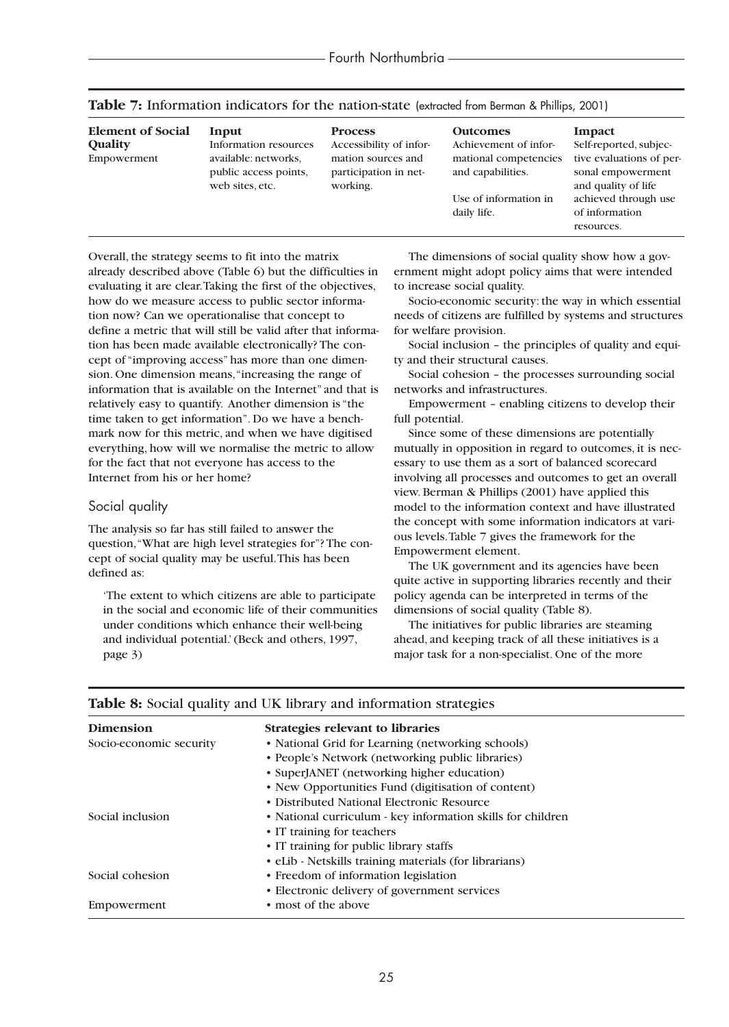| <b>Element of Social</b><br><b>Quality</b><br>Empowerment | Input<br>Information resources<br>available: networks,<br>public access points,<br>web sites, etc. | <b>Process</b><br>Accessibility of infor-<br>mation sources and<br>participation in net-<br>working. | <b>Outcomes</b><br>Achievement of infor-<br>mational competencies<br>and capabilities.<br>Use of information in<br>daily life. | Impact<br>Self-reported, subjec-<br>tive evaluations of per-<br>sonal empowerment<br>and quality of life<br>achieved through use<br>of information |
|-----------------------------------------------------------|----------------------------------------------------------------------------------------------------|------------------------------------------------------------------------------------------------------|--------------------------------------------------------------------------------------------------------------------------------|----------------------------------------------------------------------------------------------------------------------------------------------------|
|                                                           |                                                                                                    |                                                                                                      |                                                                                                                                | resources.                                                                                                                                         |

**Table 7:** Information indicators for the nation-state (extracted from Berman & Phillips, 2001)

Overall, the strategy seems to fit into the matrix already described above (Table 6) but the difficulties in evaluating it are clear.Taking the first of the objectives, how do we measure access to public sector information now? Can we operationalise that concept to define a metric that will still be valid after that information has been made available electronically? The concept of "improving access" has more than one dimension. One dimension means,"increasing the range of information that is available on the Internet" and that is relatively easy to quantify. Another dimension is "the time taken to get information". Do we have a benchmark now for this metric, and when we have digitised everything, how will we normalise the metric to allow for the fact that not everyone has access to the Internet from his or her home?

#### Social quality

The analysis so far has still failed to answer the question,"What are high level strategies for"? The concept of social quality may be useful.This has been defined as:

'The extent to which citizens are able to participate in the social and economic life of their communities under conditions which enhance their well-being and individual potential.' (Beck and others, 1997, page 3)

The dimensions of social quality show how a government might adopt policy aims that were intended to increase social quality.

Socio-economic security: the way in which essential needs of citizens are fulfilled by systems and structures for welfare provision.

Social inclusion – the principles of quality and equity and their structural causes.

Social cohesion – the processes surrounding social networks and infrastructures.

Empowerment – enabling citizens to develop their full potential.

Since some of these dimensions are potentially mutually in opposition in regard to outcomes, it is necessary to use them as a sort of balanced scorecard involving all processes and outcomes to get an overall view. Berman & Phillips (2001) have applied this model to the information context and have illustrated the concept with some information indicators at various levels.Table 7 gives the framework for the Empowerment element.

The UK government and its agencies have been quite active in supporting libraries recently and their policy agenda can be interpreted in terms of the dimensions of social quality (Table 8).

The initiatives for public libraries are steaming ahead, and keeping track of all these initiatives is a major task for a non-specialist. One of the more

| <b>Dimension</b>        | <b>Strategies relevant to libraries</b>                     |
|-------------------------|-------------------------------------------------------------|
| Socio-economic security | • National Grid for Learning (networking schools)           |
|                         | • People's Network (networking public libraries)            |
|                         | • SuperJANET (networking higher education)                  |
|                         | • New Opportunities Fund (digitisation of content)          |
|                         | • Distributed National Electronic Resource                  |
| Social inclusion        | • National curriculum - key information skills for children |
|                         | • IT training for teachers                                  |
|                         | • IT training for public library staffs                     |
|                         | • eLib - Netskills training materials (for librarians)      |
| Social cohesion         | • Freedom of information legislation                        |
|                         | • Electronic delivery of government services                |
| Empowerment             | • most of the above                                         |

## **Table 8:** Social quality and UK library and information strategies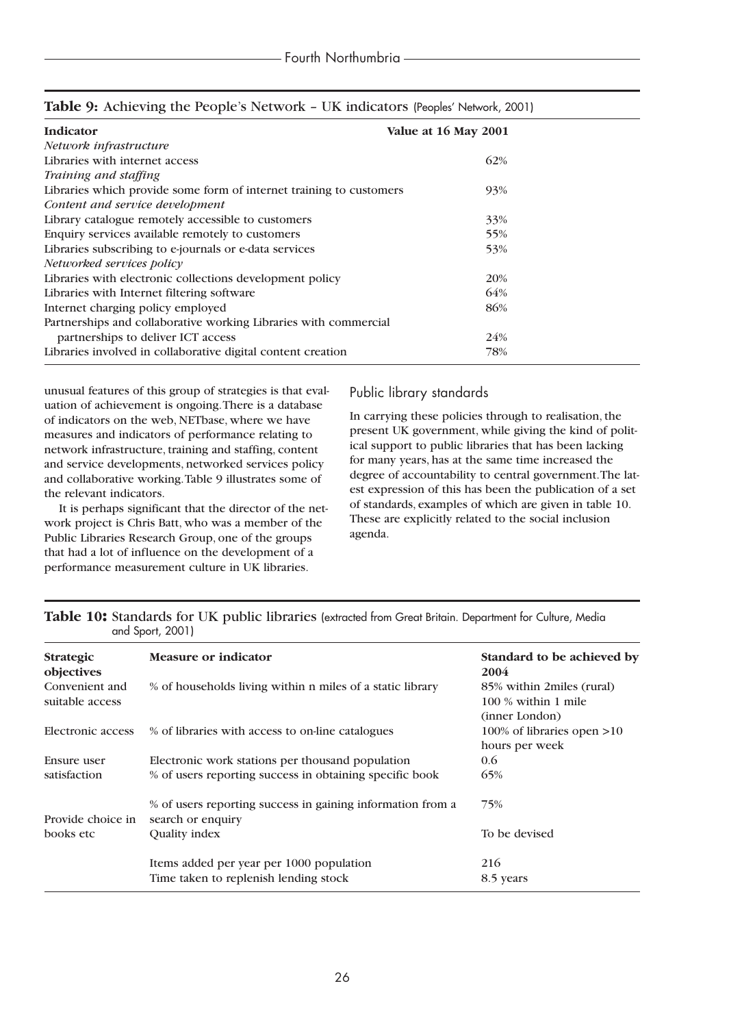| <b>Indicator</b>                                                    | Value at 16 May 2001 |
|---------------------------------------------------------------------|----------------------|
| Network infrastructure                                              |                      |
| Libraries with internet access                                      | 62%                  |
| Training and staffing                                               |                      |
| Libraries which provide some form of internet training to customers | 93%                  |
| Content and service development                                     |                      |
| Library catalogue remotely accessible to customers                  | 33%                  |
| Enquiry services available remotely to customers                    | 55%                  |
| Libraries subscribing to e-journals or e-data services              | 53%                  |
| Networked services policy                                           |                      |
| Libraries with electronic collections development policy            | 20%                  |
| Libraries with Internet filtering software                          | 64%                  |
| Internet charging policy employed                                   | 86%                  |
| Partnerships and collaborative working Libraries with commercial    |                      |
| partnerships to deliver ICT access                                  | 24%                  |
| Libraries involved in collaborative digital content creation        | 78%                  |

# **Table 9:** Achieving the People's Network – UK indicators (Peoples' Network, 2001)

unusual features of this group of strategies is that evaluation of achievement is ongoing.There is a database of indicators on the web, NETbase, where we have measures and indicators of performance relating to network infrastructure, training and staffing, content and service developments, networked services policy and collaborative working.Table 9 illustrates some of the relevant indicators.

It is perhaps significant that the director of the network project is Chris Batt, who was a member of the Public Libraries Research Group, one of the groups that had a lot of influence on the development of a performance measurement culture in UK libraries.

# Public library standards

In carrying these policies through to realisation, the present UK government, while giving the kind of political support to public libraries that has been lacking for many years, has at the same time increased the degree of accountability to central government.The latest expression of this has been the publication of a set of standards, examples of which are given in table 10. These are explicitly related to the social inclusion agenda.

| <b>Strategic</b><br>objectives    | <b>Measure or indicator</b>                                                     | Standard to be achieved by<br>2004                                   |
|-----------------------------------|---------------------------------------------------------------------------------|----------------------------------------------------------------------|
| Convenient and<br>suitable access | % of households living within n miles of a static library                       | 85% within 2miles (rural)<br>$100\%$ within 1 mile<br>(inner London) |
| Electronic access                 | % of libraries with access to on-line catalogues                                | 100% of libraries open $>10$<br>hours per week                       |
| Ensure user                       | Electronic work stations per thousand population                                | 0.6                                                                  |
| satisfaction                      | % of users reporting success in obtaining specific book                         | 65%                                                                  |
| Provide choice in                 | % of users reporting success in gaining information from a<br>search or enquiry | 75%                                                                  |
| books etc                         | Quality index                                                                   | To be devised                                                        |
|                                   | Items added per year per 1000 population                                        | 216                                                                  |
|                                   | Time taken to replenish lending stock                                           | 8.5 years                                                            |

|  |                  |  |  |  | Table 10: Standards for UK public libraries (extracted from Great Britain. Department for Culture, Media |  |
|--|------------------|--|--|--|----------------------------------------------------------------------------------------------------------|--|
|  | and Sport, 2001) |  |  |  |                                                                                                          |  |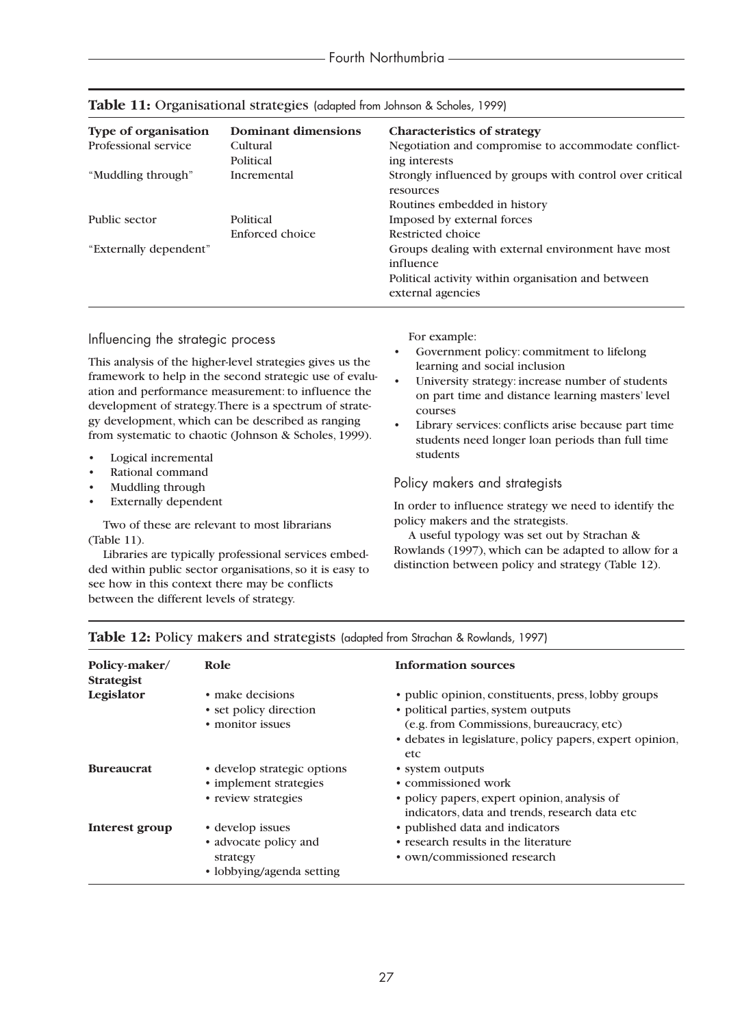| <b>Type of organisation</b><br>Professional service | Dominant dimensions<br>Cultural<br>Political | <b>Characteristics of strategy</b><br>Negotiation and compromise to accommodate conflict-<br>ing interests |
|-----------------------------------------------------|----------------------------------------------|------------------------------------------------------------------------------------------------------------|
| "Muddling through"                                  | Incremental                                  | Strongly influenced by groups with control over critical<br>resources                                      |
|                                                     |                                              | Routines embedded in history                                                                               |
| Public sector                                       | Political                                    | Imposed by external forces                                                                                 |
|                                                     | Enforced choice                              | Restricted choice                                                                                          |
| "Externally dependent"                              |                                              | Groups dealing with external environment have most<br>influence                                            |
|                                                     |                                              | Political activity within organisation and between<br>external agencies                                    |

#### **Table 11:** Organisational strategies (adapted from Johnson & Scholes, 1999)

## Influencing the strategic process

This analysis of the higher-level strategies gives us the framework to help in the second strategic use of evaluation and performance measurement: to influence the development of strategy.There is a spectrum of strategy development, which can be described as ranging from systematic to chaotic (Johnson & Scholes, 1999).

- Logical incremental
- Rational command
- Muddling through
- **Externally dependent**

Two of these are relevant to most librarians (Table 11).

Libraries are typically professional services embedded within public sector organisations, so it is easy to see how in this context there may be conflicts between the different levels of strategy.

For example:

- Government policy: commitment to lifelong learning and social inclusion
- University strategy: increase number of students on part time and distance learning masters' level courses
- Library services: conflicts arise because part time students need longer loan periods than full time students

#### Policy makers and strategists

In order to influence strategy we need to identify the policy makers and the strategists.

A useful typology was set out by Strachan & Rowlands (1997), which can be adapted to allow for a distinction between policy and strategy (Table 12).

| Policy-maker/<br><b>Strategist</b> | Role                        | <b>Information sources</b>                                       |
|------------------------------------|-----------------------------|------------------------------------------------------------------|
| Legislator                         | • make decisions            | • public opinion, constituents, press, lobby groups              |
|                                    | • set policy direction      | • political parties, system outputs                              |
|                                    | • monitor issues            | (e.g. from Commissions, bureaucracy, etc)                        |
|                                    |                             | • debates in legislature, policy papers, expert opinion,<br>etc. |
| <b>Bureaucrat</b>                  | • develop strategic options | • system outputs                                                 |
|                                    | • implement strategies      | • commissioned work                                              |
|                                    | • review strategies         | • policy papers, expert opinion, analysis of                     |
|                                    |                             | indicators, data and trends, research data etc                   |
| Interest group                     | • develop issues            | • published data and indicators                                  |
|                                    | • advocate policy and       | • research results in the literature                             |
|                                    | strategy                    | • own/commissioned research                                      |
|                                    | • lobbying/agenda setting   |                                                                  |

## Table 12: Policy makers and strategists (adapted from Strachan & Rowlands, 1997)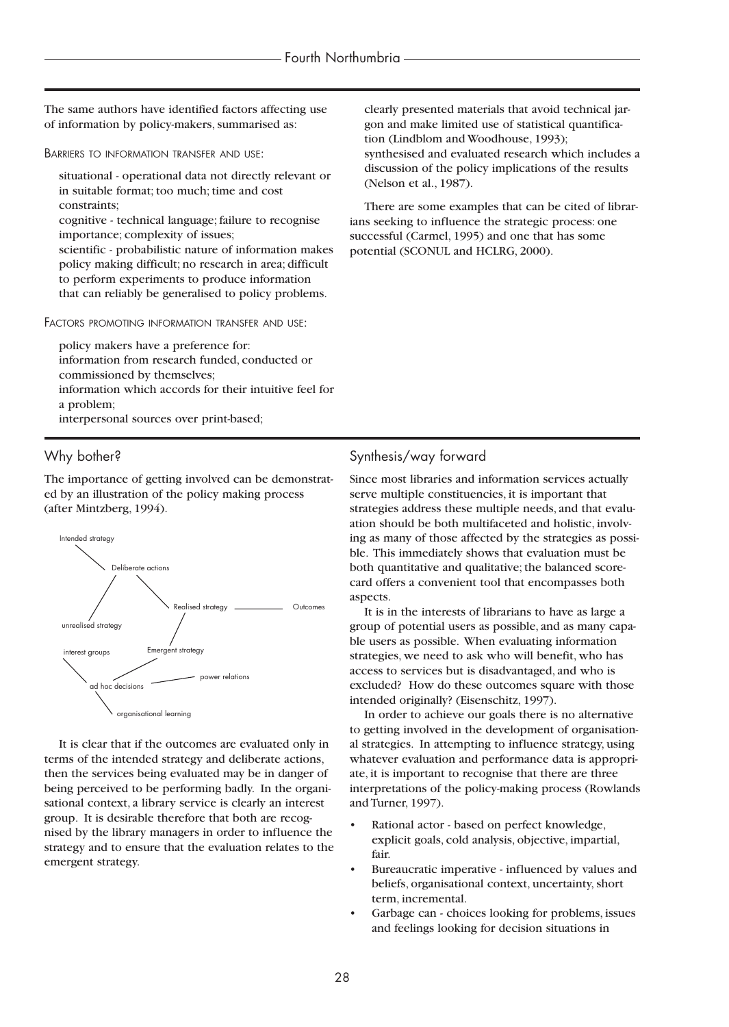The same authors have identified factors affecting use of information by policy-makers, summarised as:

BARRIERS TO INFORMATION TRANSFER AND USE:

- situational operational data not directly relevant or in suitable format; too much; time and cost constraints;
- cognitive technical language; failure to recognise importance; complexity of issues;
- scientific probabilistic nature of information makes policy making difficult; no research in area; difficult to perform experiments to produce information that can reliably be generalised to policy problems.

FACTORS PROMOTING INFORMATION TRANSFER AND USE:

policy makers have a preference for:

- information from research funded, conducted or commissioned by themselves;
- information which accords for their intuitive feel for a problem;

interpersonal sources over print-based;

#### Why bother?

The importance of getting involved can be demonstrated by an illustration of the policy making process (after Mintzberg, 1994).



It is clear that if the outcomes are evaluated only in terms of the intended strategy and deliberate actions, then the services being evaluated may be in danger of being perceived to be performing badly. In the organisational context, a library service is clearly an interest group. It is desirable therefore that both are recognised by the library managers in order to influence the strategy and to ensure that the evaluation relates to the emergent strategy.

clearly presented materials that avoid technical jargon and make limited use of statistical quantification (Lindblom and Woodhouse, 1993); synthesised and evaluated research which includes a discussion of the policy implications of the results (Nelson et al., 1987).

There are some examples that can be cited of librarians seeking to influence the strategic process: one successful (Carmel, 1995) and one that has some potential (SCONUL and HCLRG, 2000).

# Synthesis/way forward

Since most libraries and information services actually serve multiple constituencies, it is important that strategies address these multiple needs, and that evaluation should be both multifaceted and holistic, involving as many of those affected by the strategies as possible. This immediately shows that evaluation must be both quantitative and qualitative; the balanced scorecard offers a convenient tool that encompasses both aspects.

It is in the interests of librarians to have as large a group of potential users as possible, and as many capable users as possible. When evaluating information strategies, we need to ask who will benefit, who has access to services but is disadvantaged, and who is excluded? How do these outcomes square with those intended originally? (Eisenschitz, 1997).

In order to achieve our goals there is no alternative to getting involved in the development of organisational strategies. In attempting to influence strategy, using whatever evaluation and performance data is appropriate, it is important to recognise that there are three interpretations of the policy-making process (Rowlands and Turner, 1997).

- Rational actor based on perfect knowledge, explicit goals, cold analysis, objective, impartial, fair.
- Bureaucratic imperative influenced by values and beliefs, organisational context, uncertainty, short term, incremental.
- Garbage can choices looking for problems, issues and feelings looking for decision situations in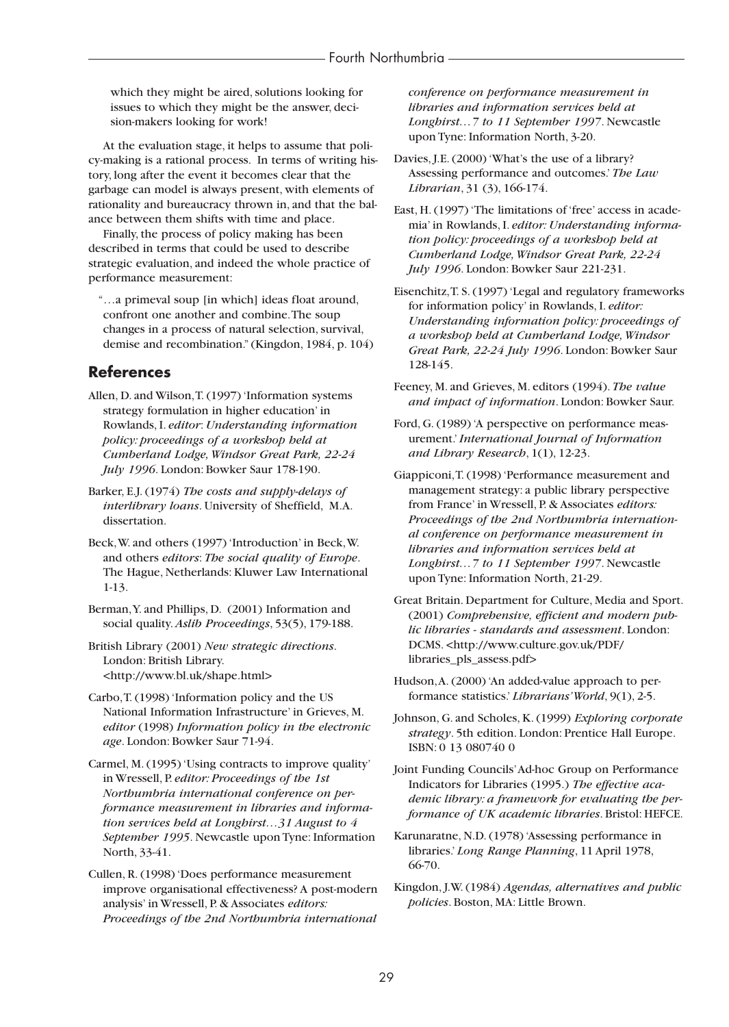which they might be aired, solutions looking for issues to which they might be the answer, decision-makers looking for work!

At the evaluation stage, it helps to assume that policy-making is a rational process. In terms of writing history, long after the event it becomes clear that the garbage can model is always present, with elements of rationality and bureaucracy thrown in, and that the balance between them shifts with time and place.

Finally, the process of policy making has been described in terms that could be used to describe strategic evaluation, and indeed the whole practice of performance measurement:

"…a primeval soup [in which] ideas float around, confront one another and combine.The soup changes in a process of natural selection, survival, demise and recombination." (Kingdon, 1984, p. 104)

# **References**

- Allen, D. and Wilson,T. (1997) 'Information systems strategy formulation in higher education' in Rowlands, I. *editor*: *Understanding information policy: proceedings of a workshop held at Cumberland Lodge, Windsor Great Park, 22-24 July 1996*. London: Bowker Saur 178-190.
- Barker, E.J. (1974) *The costs and supply-delays of interlibrary loans*. University of Sheffield, M.A. dissertation.
- Beck,W. and others (1997) 'Introduction' in Beck,W. and others *editors*: *The social quality of Europe*. The Hague, Netherlands: Kluwer Law International 1-13.
- Berman,Y. and Phillips, D. (2001) Information and social quality. *Aslib Proceedings*, 53(5), 179-188.
- British Library (2001) *New strategic directions*. London: British Library. <http://www.bl.uk/shape.html>
- Carbo,T. (1998) 'Information policy and the US National Information Infrastructure' in Grieves, M. *editor* (1998) *Information policy in the electronic age*. London: Bowker Saur 71-94.

Carmel, M. (1995) 'Using contracts to improve quality' in Wressell, P. *editor: Proceedings of the 1st Northumbria international conference on performance measurement in libraries and information services held at Longhirst…31 August to 4 September 1995*. Newcastle upon Tyne: Information North, 33-41.

Cullen, R. (1998) 'Does performance measurement improve organisational effectiveness? A post-modern analysis' in Wressell, P. & Associates *editors: Proceedings of the 2nd Northumbria international* *conference on performance measurement in libraries and information services held at Longhirst…7 to 11 September 1997*. Newcastle upon Tyne: Information North, 3-20.

Davies, J.E. (2000) 'What's the use of a library? Assessing performance and outcomes.' *The Law Librarian*, 31 (3), 166-174.

East, H. (1997) 'The limitations of 'free' access in academia' in Rowlands, I. *editor: Understanding information policy: proceedings of a workshop held at Cumberland Lodge, Windsor Great Park, 22-24 July 1996*. London: Bowker Saur 221-231.

Eisenchitz,T. S. (1997) 'Legal and regulatory frameworks for information policy' in Rowlands, I. *editor: Understanding information policy: proceedings of a workshop held at Cumberland Lodge, Windsor Great Park, 22-24 July 1996*. London: Bowker Saur 128-145.

- Feeney, M. and Grieves, M. editors (1994). *The value and impact of information*. London: Bowker Saur.
- Ford, G. (1989) 'A perspective on performance measurement.'*International Journal of Information and Library Research*, 1(1), 12-23.
- Giappiconi,T. (1998) 'Performance measurement and management strategy: a public library perspective from France' in Wressell, P. & Associates *editors: Proceedings of the 2nd Northumbria international conference on performance measurement in libraries and information services held at Longhirst…7 to 11 September 1997*. Newcastle upon Tyne: Information North, 21-29.
- Great Britain. Department for Culture, Media and Sport. (2001) *Comprehensive, efficient and modern public libraries - standards and assessment*. London: DCMS. <http://www.culture.gov.uk/PDF/ libraries\_pls\_assess.pdf>
- Hudson,A. (2000) 'An added-value approach to performance statistics.' *Librarians'World*, 9(1), 2-5.

Johnson, G. and Scholes, K. (1999) *Exploring corporate strategy*. 5th edition. London: Prentice Hall Europe. ISBN: 0 13 080740 0

Joint Funding Councils'Ad-hoc Group on Performance Indicators for Libraries (1995.) *The effective academic library: a framework for evaluating the performance of UK academic libraries*. Bristol: HEFCE.

- Karunaratne, N.D. (1978) 'Assessing performance in libraries.' *Long Range Planning*, 11 April 1978, 66-70.
- Kingdon, J.W. (1984) *Agendas, alternatives and public policies*. Boston, MA: Little Brown.